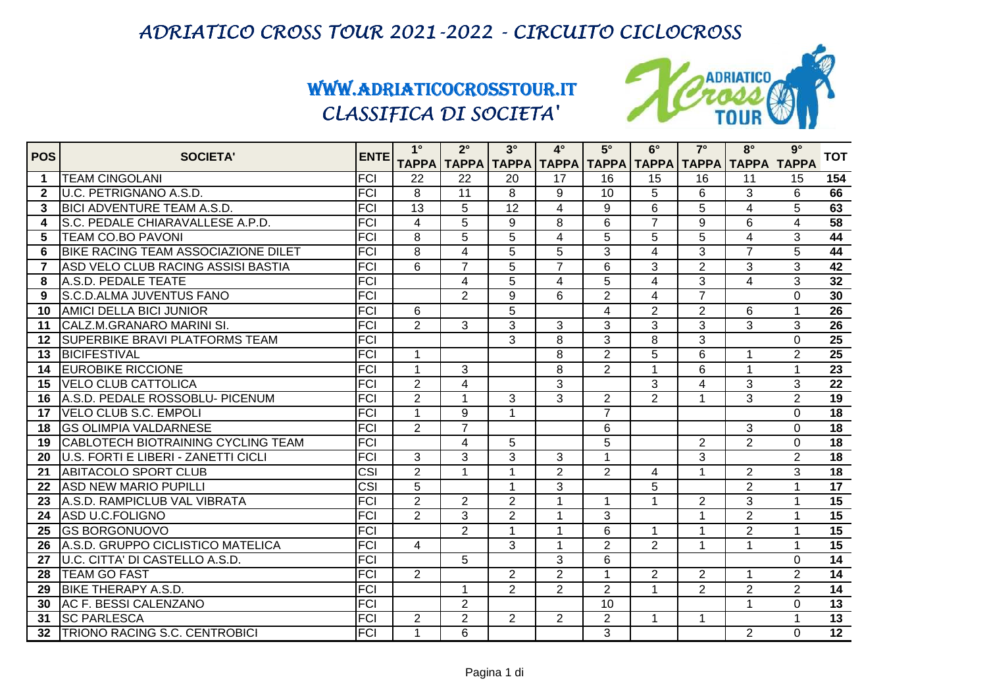

| <b>POS</b>   | <b>SOCIETA'</b>                            | <b>ENTE</b>             | $1^{\circ}$     | $2^{\circ}$             | $3^\circ$       | $4^\circ$      | $5^\circ$      | $6^\circ$               | $7^\circ$               | $8^\circ$                                                             | $9^\circ$      | <b>TOT</b>      |
|--------------|--------------------------------------------|-------------------------|-----------------|-------------------------|-----------------|----------------|----------------|-------------------------|-------------------------|-----------------------------------------------------------------------|----------------|-----------------|
|              |                                            |                         |                 |                         |                 |                |                |                         |                         | ТАРРА   ТАРРА   ТАРРА   ТАРРА   ТАРРА   ТАРРА   ТАРРА   ТАРРА   ТАРРА |                |                 |
| 1            | <b>TEAM CINGOLANI</b>                      | FCI                     | 22              | 22                      | 20              | 17             | 16             | 15                      | 16                      | 11                                                                    | 15             | 154             |
| $\mathbf{2}$ | U.C. PETRIGNANO A.S.D.                     | <b>FCI</b>              | 8               | 11                      | 8               | 9              | 10             | 5                       | 6                       | 3                                                                     | 6              | 66              |
| 3            | <b>BICI ADVENTURE TEAM A.S.D.</b>          | <b>FCI</b>              | $\overline{13}$ | 5                       | $\overline{12}$ | $\overline{4}$ | 9              | 6                       | 5                       | 4                                                                     | 5              | 63              |
| 4            | S.C. PEDALE CHIARAVALLESE A.P.D.           | <b>FCI</b>              | $\overline{4}$  | 5                       | 9               | 8              | 6              | $\overline{7}$          | 9                       | 6                                                                     | 4              | $\overline{58}$ |
| 5            | <b>TEAM CO.BO PAVONI</b>                   | <b>FCI</b>              | 8               | $\overline{5}$          | $\overline{5}$  | $\overline{4}$ | $\overline{5}$ | $\overline{5}$          | $\overline{5}$          | $\overline{\mathbf{A}}$                                               | 3              | $\overline{44}$ |
| 6            | <b>BIKE RACING TEAM ASSOCIAZIONE DILET</b> | <b>FCI</b>              | 8               | $\overline{\mathbf{4}}$ | 5               | 5              | 3              | $\overline{\mathbf{4}}$ | 3                       | $\overline{7}$                                                        | 5              | 44              |
| 7            | ASD VELO CLUB RACING ASSISI BASTIA         | <b>FCI</b>              | 6               | $\overline{7}$          | 5               | $\overline{7}$ | 6              | 3                       | $\overline{2}$          | 3                                                                     | 3              | 42              |
| 8            | A.S.D. PEDALE TEATE                        | <b>FCI</b>              |                 | 4                       | 5               | 4              | 5              | 4                       | 3                       | 4                                                                     | 3              | $\overline{32}$ |
| 9            | <b>S.C.D.ALMA JUVENTUS FANO</b>            | <b>FCI</b>              |                 | $\overline{2}$          | 9               | 6              | $\overline{2}$ | $\overline{4}$          | $\overline{7}$          |                                                                       | $\Omega$       | 30              |
| 10           | <b>AMICI DELLA BICI JUNIOR</b>             | <b>FCI</b>              | 6               |                         | 5               |                | $\overline{4}$ | $\overline{2}$          | $\overline{2}$          | 6                                                                     | $\mathbf{1}$   | 26              |
| 11           | CALZ.M.GRANARO MARINI SI.                  | FCI                     | $\overline{2}$  | 3                       | 3               | 3              | 3              | 3                       | 3                       | 3                                                                     | 3              | $\overline{26}$ |
| 12           | ISUPERBIKE BRAVI PLATFORMS TEAM            | <b>FCI</b>              |                 |                         | 3               | 8              | 3              | 8                       | 3                       |                                                                       | $\Omega$       | $\overline{25}$ |
| 13           | <b>IBICIFESTIVAL</b>                       | <b>FCI</b>              | $\mathbf{1}$    |                         |                 | 8              | 2              | 5                       | 6                       | 1                                                                     | 2              | 25              |
| 14           | <b>EUROBIKE RICCIONE</b>                   | <b>FCI</b>              | $\overline{1}$  | 3                       |                 | 8              | $\overline{2}$ | $\mathbf 1$             | 6                       | $\overline{1}$                                                        | $\overline{1}$ | $\overline{23}$ |
| 15           | <b>VELO CLUB CATTOLICA</b>                 | <b>FCI</b>              | $\overline{2}$  | $\overline{4}$          |                 | 3              |                | 3                       | $\overline{\mathbf{4}}$ | 3                                                                     | 3              | $\overline{22}$ |
| 16           | A.S.D. PEDALE ROSSOBLU- PICENUM            | <b>FCI</b>              | $\overline{2}$  | $\mathbf 1$             | 3               | 3              | $\overline{2}$ | $\overline{2}$          |                         | 3                                                                     | $\overline{2}$ | 19              |
| 17           | <b>VELO CLUB S.C. EMPOLI</b>               | <b>FCI</b>              | 1               | 9                       | 1               |                | $\overline{7}$ |                         |                         |                                                                       | $\Omega$       | 18              |
| 18           | <b>IGS OLIMPIA VALDARNESE</b>              | <b>FCI</b>              | $\overline{2}$  | $\overline{7}$          |                 |                | 6              |                         |                         | 3                                                                     | $\Omega$       | $\overline{18}$ |
| 19           | <b>CABLOTECH BIOTRAINING CYCLING TEAM</b>  | <b>FCI</b>              |                 | 4                       | 5               |                | 5              |                         | 2                       | 2                                                                     | $\Omega$       | 18              |
| 20           | U.S. FORTI E LIBERI - ZANETTI CICLI        | <b>FCI</b>              | 3               | 3                       | 3               | 3              | 1              |                         | 3                       |                                                                       | $\overline{2}$ | 18              |
| 21           | <b>ABITACOLO SPORT CLUB</b>                | CSI                     | $\overline{2}$  | 1                       | 1               | $\overline{2}$ | $\overline{c}$ | 4                       | 1                       | $\overline{2}$                                                        | 3              | 18              |
| 22           | <b>IASD NEW MARIO PUPILLI</b>              | $\overline{\text{CSI}}$ | $\overline{5}$  |                         | 1               | 3              |                | 5                       |                         | $\overline{2}$                                                        |                | 17              |
| 23           | A.S.D. RAMPICLUB VAL VIBRATA               | <b>FCI</b>              | $\overline{2}$  | $\overline{2}$          | $\overline{2}$  | 1              | 1              | $\overline{1}$          | $\overline{2}$          | 3                                                                     |                | 15              |
| 24           | ASD U.C.FOLIGNO                            | $\overline{FCI}$        | $\overline{2}$  | 3                       | $\overline{2}$  | $\mathbf 1$    | 3              |                         | $\mathbf 1$             | $\overline{2}$                                                        | 1              | $\overline{15}$ |
| 25           | <b>IGS BORGONUOVO</b>                      | <b>FCI</b>              |                 | $\overline{2}$          | $\mathbf 1$     | 1              | 6              | $\blacktriangleleft$    | 1                       | $\overline{2}$                                                        | 1              | 15              |
| 26           | A.S.D. GRUPPO CICLISTICO MATELICA          | <b>FCI</b>              | 4               |                         | 3               | 1              | $\overline{2}$ | $\overline{2}$          | 1                       | $\overline{1}$                                                        |                | 15              |
| 27           | U.C. CITTA' DI CASTELLO A.S.D.             | <b>FCI</b>              |                 | 5                       |                 | 3              | 6              |                         |                         |                                                                       | 0              | 14              |
| 28           | <b>TEAM GO FAST</b>                        | <b>FCI</b>              | 2               |                         | $\overline{2}$  | $\overline{2}$ | $\mathbf 1$    | $\overline{2}$          | $\overline{2}$          | 1                                                                     | $\overline{2}$ | $\overline{14}$ |
| 29           | <b>BIKE THERAPY A.S.D.</b>                 | <b>FCI</b>              |                 | 1                       | $\overline{2}$  | $\overline{2}$ | $\overline{2}$ | $\overline{1}$          | 2                       | $\overline{2}$                                                        | $\overline{2}$ | $\overline{14}$ |
| 30           | AC F. BESSI CALENZANO                      | <b>FCI</b>              |                 | $\overline{2}$          |                 |                | 10             |                         |                         | $\blacktriangleleft$                                                  | $\Omega$       | 13              |
| 31           | <b>SC PARLESCA</b>                         | <b>FCI</b>              | $\overline{2}$  | $\overline{2}$          | $\overline{2}$  | $\overline{c}$ | $\overline{2}$ | $\blacktriangleleft$    | 1                       |                                                                       |                | $\overline{13}$ |
| 32           | <b>TRIONO RACING S.C. CENTROBICI</b>       | FCI                     | 1               | 6                       |                 |                | 3              |                         |                         | 2                                                                     | $\Omega$       | $\overline{12}$ |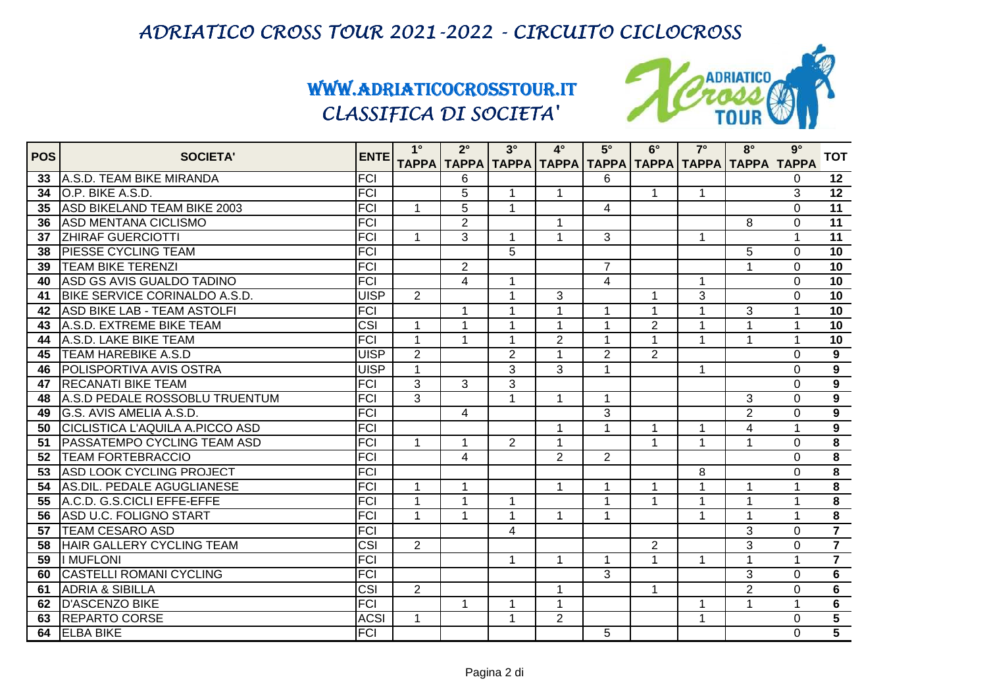

| <b>POS</b> | <b>SOCIETA'</b>                    | <b>ENTE</b>             | $1^{\circ}$    | $2^{\circ}$    | $3^\circ$      | $4^\circ$                                                             | $5^\circ$      | $6^\circ$      | $7^\circ$    | $8^\circ$               | $9^\circ$      | <b>TOT</b>              |
|------------|------------------------------------|-------------------------|----------------|----------------|----------------|-----------------------------------------------------------------------|----------------|----------------|--------------|-------------------------|----------------|-------------------------|
|            |                                    |                         |                |                |                | ТАРРА   ТАРРА   ТАРРА   ТАРРА   ТАРРА   ТАРРА   ТАРРА   ТАРРА   ТАРРА |                |                |              |                         |                |                         |
| 33         | A.S.D. TEAM BIKE MIRANDA           | FCI                     |                | 6              |                |                                                                       | 6              |                |              |                         | $\Omega$       | 12                      |
| 34         | O.P. BIKE A.S.D.                   | <b>FCI</b>              |                | $\overline{5}$ | 1              | 1                                                                     |                | $\mathbf{1}$   | 1            |                         | 3              | 12                      |
| 35         | ASD BIKELAND TEAM BIKE 2003        | FCI                     | $\mathbf{1}$   | 5              | 1              |                                                                       | $\overline{4}$ |                |              |                         | $\Omega$       | $\overline{11}$         |
| 36         | <b>ASD MENTANA CICLISMO</b>        | <b>FCI</b>              |                | $\overline{2}$ |                | 1                                                                     |                |                |              | 8                       | $\Omega$       | 11                      |
| 37         | <b>ZHIRAF GUERCIOTTI</b>           | <b>FCI</b>              | $\mathbf{1}$   | 3              | $\mathbf{1}$   | $\mathbf{1}$                                                          | 3              |                | $\mathbf{1}$ |                         | $\overline{1}$ | 11                      |
| 38         | <b>PIESSE CYCLING TEAM</b>         | <b>FCI</b>              |                |                | 5              |                                                                       |                |                |              | 5                       | $\mathbf 0$    | 10                      |
| 39         | <b>TEAM BIKE TERENZI</b>           | <b>FCI</b>              |                | $\overline{2}$ |                |                                                                       | $\overline{7}$ |                |              |                         | $\Omega$       | 10                      |
| 40         | ASD GS AVIS GUALDO TADINO          | FCI                     |                | 4              | 1              |                                                                       | 4              |                | 1            |                         | $\Omega$       | 10                      |
| 41         | BIKE SERVICE CORINALDO A.S.D.      | <b>UISP</b>             | $\overline{2}$ |                | $\mathbf 1$    | 3                                                                     |                | $\mathbf{1}$   | 3            |                         | $\Omega$       | 10                      |
| 42         | <b>ASD BIKE LAB - TEAM ASTOLFI</b> | <b>FCI</b>              |                | $\mathbf{1}$   | 1              | $\mathbf 1$                                                           | $\mathbf{1}$   | $\mathbf 1$    | 1            | 3                       | 1              | 10                      |
| 43         | A.S.D. EXTREME BIKE TEAM           | $\overline{\text{CSI}}$ | $\mathbf{1}$   | $\overline{1}$ | 1              | $\overline{1}$                                                        | $\overline{1}$ | $\overline{2}$ | 1            | $\overline{1}$          | $\overline{1}$ | 10                      |
| 44         | A.S.D. LAKE BIKE TEAM              | <b>FCI</b>              | $\mathbf{1}$   | 1              | 1              | $\overline{2}$                                                        | 1              | $\mathbf 1$    |              | -1                      |                | 10                      |
| 45         | <b>TEAM HAREBIKE A.S.D</b>         | <b>UISP</b>             | $\overline{2}$ |                | $\overline{2}$ | 1                                                                     | $\overline{2}$ | $\overline{2}$ |              |                         | $\Omega$       | $9^{\circ}$             |
| 46         | <b>POLISPORTIVA AVIS OSTRA</b>     | <b>UISP</b>             | $\mathbf{1}$   |                | 3              | 3                                                                     | $\mathbf{1}$   |                | 1            |                         | $\Omega$       | $\overline{9}$          |
| 47         | <b>RECANATI BIKE TEAM</b>          | <b>FCI</b>              | $\overline{3}$ | 3              | $\overline{3}$ |                                                                       |                |                |              |                         | $\Omega$       | $\overline{9}$          |
| 48         | A.S.D PEDALE ROSSOBLU TRUENTUM     | FCI                     | 3              |                | 1              | $\mathbf{1}$                                                          | $\mathbf{1}$   |                |              | 3                       | $\overline{0}$ | $\overline{9}$          |
| 49         | G.S. AVIS AMELIA A.S.D.            | <b>FCI</b>              |                | 4              |                |                                                                       | $\overline{3}$ |                |              | $\overline{2}$          | $\Omega$       | $\overline{9}$          |
| 50         | CICLISTICA L'AQUILA A.PICCO ASD    | <b>FCI</b>              |                |                |                | $\mathbf 1$                                                           | $\mathbf{1}$   | 1              |              | $\overline{\mathbf{4}}$ | 1              | $\overline{9}$          |
| 51         | <b>PASSATEMPO CYCLING TEAM ASD</b> | <b>FCI</b>              | $\mathbf{1}$   | 1              | $\overline{2}$ | $\mathbf{1}$                                                          |                | $\mathbf 1$    | 1            | 1                       | $\Omega$       | $\overline{\mathbf{8}}$ |
| 52         | <b>TEAM FORTEBRACCIO</b>           | <b>FCI</b>              |                | 4              |                | $\overline{2}$                                                        | $\overline{2}$ |                |              |                         | $\overline{0}$ | $\overline{\mathbf{8}}$ |
| 53         | ASD LOOK CYCLING PROJECT           | FCI                     |                |                |                |                                                                       |                |                | 8            |                         | $\Omega$       | $\overline{\mathbf{8}}$ |
| 54         | AS.DIL. PEDALE AGUGLIANESE         | <b>FCI</b>              | 1              | 1              |                | 1                                                                     | 1              | -1             |              |                         |                | $\overline{\mathbf{8}}$ |
| 55         | A.C.D. G.S.CICLI EFFE-EFFE         | FCI                     | $\overline{1}$ | 1              | 1              |                                                                       | 1              | 1              |              |                         |                | $\overline{\mathbf{8}}$ |
| 56         | ASD U.C. FOLIGNO START             | <b>FCI</b>              | $\mathbf{1}$   | 1              | $\mathbf 1$    | $\mathbf 1$                                                           | $\mathbf{1}$   |                | $\mathbf 1$  | $\mathbf 1$             | $\overline{1}$ | $\overline{\mathbf{8}}$ |
| 57         | <b>TEAM CESARO ASD</b>             | <b>FCI</b>              |                |                | 4              |                                                                       |                |                |              | 3                       | $\Omega$       | $\overline{7}$          |
| 58         | <b>HAIR GALLERY CYCLING TEAM</b>   | $\overline{\text{CSI}}$ | $\overline{2}$ |                |                |                                                                       |                | $\overline{2}$ |              | 3                       | $\Omega$       | $\overline{7}$          |
| 59         | I MUFLONI                          | <b>FCI</b>              |                |                | 1              | $\mathbf 1$                                                           | $\mathbf{1}$   | $\mathbf 1$    |              | 1                       |                | $\overline{7}$          |
| 60         | <b>CASTELLI ROMANI CYCLING</b>     | <b>FCI</b>              |                |                |                |                                                                       | 3              |                |              | 3                       | $\Omega$       | $\overline{6}$          |
| 61         | <b>ADRIA &amp; SIBILLA</b>         | $\overline{\text{CSI}}$ | $\overline{2}$ |                |                | $\mathbf{1}$                                                          |                | 1              |              | $\overline{2}$          | $\overline{0}$ | $\overline{6}$          |
| 62         | <b>D'ASCENZO BIKE</b>              | <b>FCI</b>              |                | 1              | 1              | $\mathbf{1}$                                                          |                |                |              | $\overline{1}$          | $\overline{1}$ | $6\phantom{a}$          |
| 63         | <b>REPARTO CORSE</b>               | <b>ACSI</b>             | $\mathbf{1}$   |                | 1              | $\overline{2}$                                                        |                |                | $\mathbf 1$  |                         | $\mathbf 0$    | $\overline{5}$          |
|            | 64 ELBA BIKE                       | FCI                     |                |                |                |                                                                       | 5              |                |              |                         | $\Omega$       | $\overline{5}$          |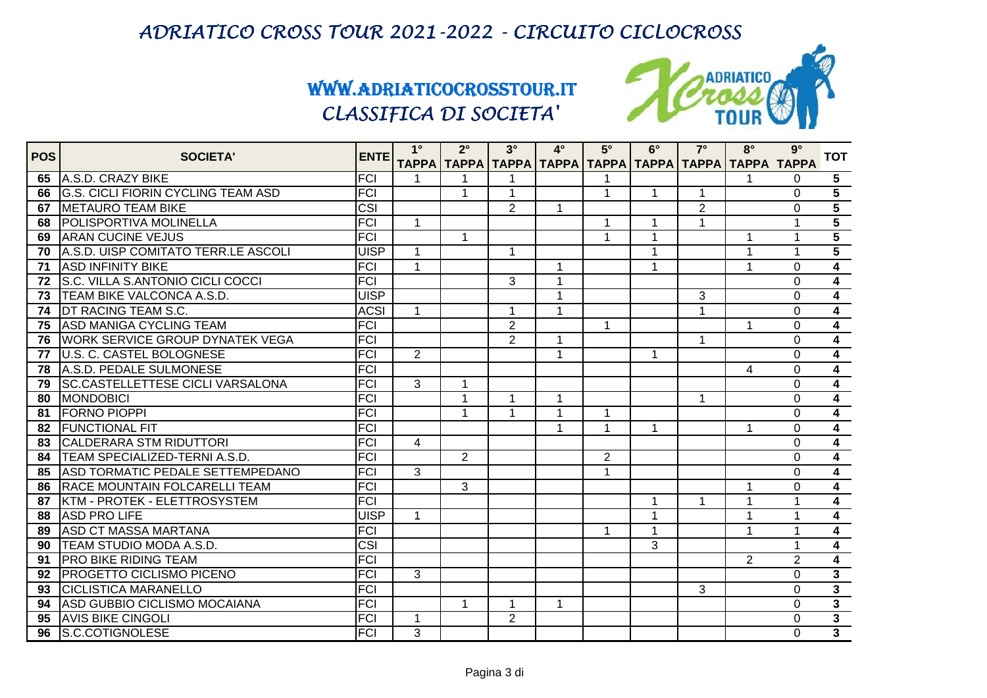

| <b>POS</b> | <b>SOCIETA'</b>                           | <b>ENTE</b>             | $1^{\circ}$    | $2^{\circ}$                                                         | $3^\circ$      | $4^\circ$            | $5^\circ$      | $6^\circ$               | $7^\circ$      | $8^\circ$      | $9^\circ$      | <b>TOT</b>              |
|------------|-------------------------------------------|-------------------------|----------------|---------------------------------------------------------------------|----------------|----------------------|----------------|-------------------------|----------------|----------------|----------------|-------------------------|
|            |                                           |                         |                | ТАРРА   ТАРРА   ТАРРА   ТАРРА   ТАРРА   ТАРРА   ТАРРА   ТАРРА ТАРРА |                |                      |                |                         |                |                |                |                         |
| 65         | A.S.D. CRAZY BIKE                         | FCI                     |                |                                                                     |                |                      |                |                         |                |                | $\Omega$       | 5 <sup>5</sup>          |
| 66         | <b>G.S. CICLI FIORIN CYCLING TEAM ASD</b> | <b>FCI</b>              |                | $\mathbf{1}$                                                        |                |                      | 1              | $\overline{\mathbf{1}}$ |                |                | $\Omega$       | $\overline{5}$          |
|            | 67   METAURO TEAM BIKE                    | CSI                     |                |                                                                     | $\overline{2}$ | $\mathbf{1}$         |                |                         | $\overline{2}$ |                | $\Omega$       | $\overline{5}$          |
| 68         | <b>POLISPORTIVA MOLINELLA</b>             | <b>FCI</b>              | $\mathbf{1}$   |                                                                     |                |                      | 1              | -1                      | $\mathbf 1$    |                | 1              | $\overline{5}$          |
| 69         | <b>ARAN CUCINE VEJUS</b>                  | <b>FCI</b>              |                | $\mathbf{1}$                                                        |                |                      | $\mathbf 1$    | $\overline{1}$          |                | $\mathbf 1$    | $\mathbf{1}$   | $\overline{5}$          |
| 70         | A.S.D. UISP COMITATO TERR.LE ASCOLI       | <b>UISP</b>             | 1              |                                                                     | 1              |                      |                | $\overline{1}$          |                | $\mathbf 1$    | $\mathbf 1$    | $\overline{5}$          |
| 71         | <b>ASD INFINITY BIKE</b>                  | <b>FCI</b>              | 1              |                                                                     |                | $\blacktriangleleft$ |                |                         |                | 1              | $\Omega$       | $\overline{\mathbf{4}}$ |
|            | 72 S.C. VILLA S.ANTONIO CICLI COCCI       | FCI                     |                |                                                                     | 3              | $\overline{1}$       |                |                         |                |                | $\Omega$       | $\overline{4}$          |
| 73         | <b>TEAM BIKE VALCONCA A.S.D.</b>          | <b>UISP</b>             |                |                                                                     |                | $\mathbf{1}$         |                |                         | 3              |                | $\Omega$       | $\overline{4}$          |
| 74         | <b>DT RACING TEAM S.C.</b>                | <b>ACSI</b>             | $\mathbf{1}$   |                                                                     | 1              | $\mathbf 1$          |                |                         | 1              |                | $\Omega$       | $\overline{4}$          |
| 75         | <b>ASD MANIGA CYCLING TEAM</b>            | <b>FCI</b>              |                |                                                                     | $\overline{2}$ |                      | $\mathbf{1}$   |                         |                | $\mathbf 1$    | $\Omega$       | $\overline{4}$          |
| 76         | <b>IWORK SERVICE GROUP DYNATEK VEGA</b>   | <b>FCI</b>              |                |                                                                     | $\overline{2}$ | $\mathbf{1}$         |                |                         |                |                | $\Omega$       | $\overline{4}$          |
| 77         | <b>U.S. C. CASTEL BOLOGNESE</b>           | FCI                     | 2              |                                                                     |                | $\mathbf{1}$         |                | -1                      |                |                | $\Omega$       | $\overline{4}$          |
| 78         | A.S.D. PEDALE SULMONESE                   | FCI                     |                |                                                                     |                |                      |                |                         |                | 4              | $\Omega$       | $\overline{4}$          |
| 79         | <b>SC.CASTELLETTESE CICLI VARSALONA</b>   | <b>FCI</b>              | $\overline{3}$ | $\mathbf{1}$                                                        |                |                      |                |                         |                |                | $\Omega$       | $\overline{4}$          |
| 80         | <b>MONDOBICI</b>                          | FCI                     |                | 1                                                                   | 1              | $\mathbf{1}$         |                |                         | 1              |                | $\mathbf 0$    | $\overline{4}$          |
| 81         | <b>FORNO PIOPPI</b>                       | <b>FCI</b>              |                | $\overline{1}$                                                      |                | $\overline{1}$       | 1              |                         |                |                | $\Omega$       | $\overline{4}$          |
| 82         | <b>FUNCTIONAL FIT</b>                     | FCI                     |                |                                                                     |                | $\mathbf{1}$         | 1              | -1                      |                | $\overline{1}$ | $\Omega$       | $\overline{4}$          |
| 83         | <b>CALDERARA STM RIDUTTORI</b>            | FCI                     | $\overline{4}$ |                                                                     |                |                      |                |                         |                |                | $\Omega$       | $\overline{\mathbf{4}}$ |
| 84         | <b>TEAM SPECIALIZED-TERNI A.S.D.</b>      | <b>FCI</b>              |                | 2                                                                   |                |                      | $\overline{2}$ |                         |                |                | $\overline{0}$ | $\overline{\mathbf{4}}$ |
| 85         | ASD TORMATIC PEDALE SETTEMPEDANO          | <b>FCI</b>              | 3              |                                                                     |                |                      | $\mathbf{1}$   |                         |                |                | $\Omega$       | $\overline{\mathbf{4}}$ |
| 86         | <b>RACE MOUNTAIN FOLCARELLI TEAM</b>      | <b>FCI</b>              |                | 3                                                                   |                |                      |                |                         |                |                | $\Omega$       | $\overline{4}$          |
| 87         | KTM - PROTEK - ELETTROSYSTEM              | FCI                     |                |                                                                     |                |                      |                |                         |                |                | 1              | $\overline{\mathbf{4}}$ |
| 88         | <b>ASD PRO LIFE</b>                       | <b>UISP</b>             | $\mathbf{1}$   |                                                                     |                |                      |                | $\mathbf 1$             |                | 1              | 1              | $\overline{\mathbf{4}}$ |
| 89         | <b>ASD CT MASSA MARTANA</b>               | <b>FCI</b>              |                |                                                                     |                |                      | $\mathbf 1$    | $\mathbf 1$             |                | $\mathbf 1$    | $\mathbf{1}$   | $\overline{4}$          |
| 90         | <b>TEAM STUDIO MODA A.S.D.</b>            | $\overline{\text{CSI}}$ |                |                                                                     |                |                      |                | 3                       |                |                | 1              | $\overline{4}$          |
| 91         | <b>PRO BIKE RIDING TEAM</b>               | FCI                     |                |                                                                     |                |                      |                |                         |                | 2              | $\overline{2}$ | $\overline{4}$          |
| 92         | <b>PROGETTO CICLISMO PICENO</b>           | <b>FCI</b>              | 3              |                                                                     |                |                      |                |                         |                |                | $\Omega$       | $\overline{\mathbf{3}}$ |
| 93         | <b>CICLISTICA MARANELLO</b>               | FCI                     |                |                                                                     |                |                      |                |                         | 3              |                | $\Omega$       | $\overline{\mathbf{3}}$ |
| 94         | ASD GUBBIO CICLISMO MOCAIANA              | <b>FCI</b>              |                | $\mathbf{1}$                                                        | 1              | $\mathbf 1$          |                |                         |                |                | $\Omega$       | $\overline{\mathbf{3}}$ |
| 95         | <b>AVIS BIKE CINGOLI</b>                  | <b>FCI</b>              | $\mathbf 1$    |                                                                     | $\overline{2}$ |                      |                |                         |                |                | $\Omega$       | $\overline{3}$          |
| 96         | <b>S.C.COTIGNOLESE</b>                    | FCI                     | 3              |                                                                     |                |                      |                |                         |                |                | $\Omega$       | $\overline{\mathbf{3}}$ |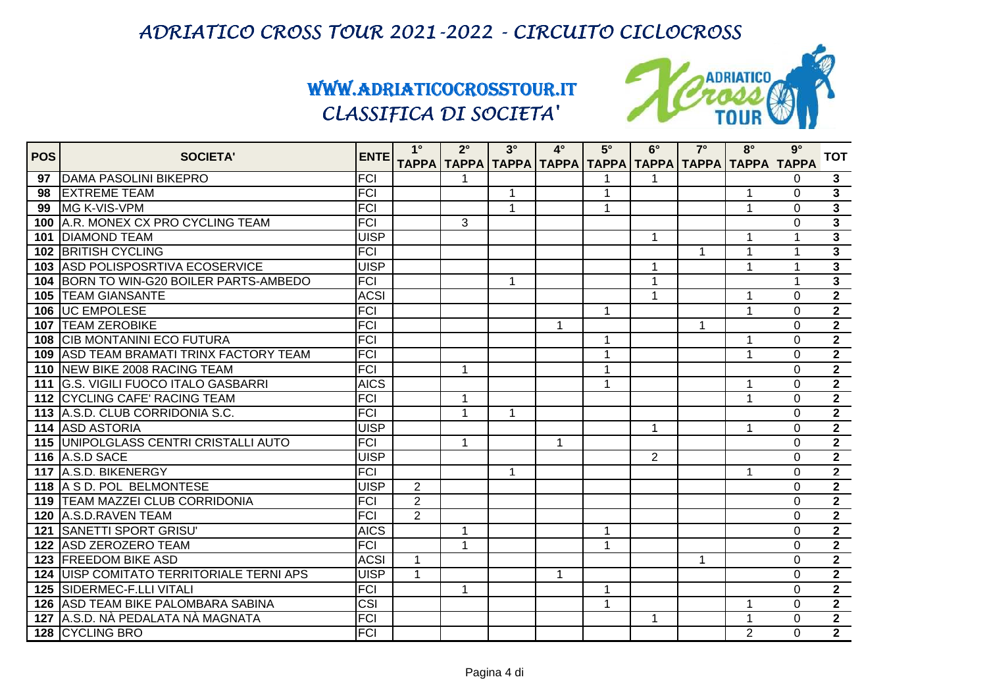

| <b>POS</b> | <b>SOCIETA'</b>                                      | <b>ENTE</b> | $1^{\circ}$          | $2^{\circ}$                                                         | $3^\circ$    | $4^\circ$   | $5^\circ$    | $6^\circ$        | $7^\circ$ | $8^\circ$      | $9^\circ$            | <b>TOT</b>                       |
|------------|------------------------------------------------------|-------------|----------------------|---------------------------------------------------------------------|--------------|-------------|--------------|------------------|-----------|----------------|----------------------|----------------------------------|
|            |                                                      | <b>FCI</b>  |                      | ТАРРА   ТАРРА   ТАРРА   ТАРРА   ТАРРА   ТАРРА   ТАРРА   ТАРРА ТАРРА |              |             |              |                  |           |                |                      |                                  |
| 97<br>98   | <b>DAMA PASOLINI BIKEPRO</b><br><b>IEXTREME TEAM</b> | <b>FCI</b>  |                      |                                                                     | 1            |             | 1            |                  |           |                | $\Omega$<br>$\Omega$ | $\mathbf{3}$<br>$\overline{3}$   |
|            | 99 MG K-VIS-VPM                                      | <b>FCI</b>  |                      |                                                                     | 1            |             | 1            |                  |           | 1              | $\Omega$             | $\overline{\mathbf{3}}$          |
|            | 100 A.R. MONEX CX PRO CYCLING TEAM                   | <b>FCI</b>  |                      | 3                                                                   |              |             |              |                  |           |                |                      | $\overline{\mathbf{3}}$          |
|            | <b>101 DIAMOND TEAM</b>                              | <b>UISP</b> |                      |                                                                     |              |             |              | $\mathbf 1$      |           | 1              | $\Omega$             | $\overline{3}$                   |
|            | 102 BRITISH CYCLING                                  | <b>FCI</b>  |                      |                                                                     |              |             |              |                  | 1         | 1              |                      | $\overline{\mathbf{3}}$          |
|            |                                                      |             |                      |                                                                     |              |             |              |                  |           |                |                      | $\overline{\mathbf{3}}$          |
|            | 103 ASD POLISPOSRTIVA ECOSERVICE                     | <b>UISP</b> |                      |                                                                     |              |             |              |                  |           |                |                      | $\overline{\mathbf{3}}$          |
|            | 104 BORN TO WIN-G20 BOILER PARTS-AMBEDO              | <b>FCI</b>  |                      |                                                                     | 1            |             |              | 1<br>$\mathbf 1$ |           |                |                      | $\overline{2}$                   |
|            | <b>105 TEAM GIANSANTE</b>                            | <b>ACSI</b> |                      |                                                                     |              |             |              |                  |           | -1<br>1        | $\Omega$             | $\overline{2}$                   |
|            | 106 UC EMPOLESE                                      | <b>FCI</b>  |                      |                                                                     |              |             | $\mathbf 1$  |                  |           |                | $\Omega$             | $\overline{2}$                   |
|            | <b>107 TEAM ZEROBIKE</b>                             | <b>FCI</b>  |                      |                                                                     |              | $\mathbf 1$ |              |                  | 1         |                | $\overline{0}$       | $\overline{2}$                   |
|            | <b>108 CIB MONTANINI ECO FUTURA</b>                  | <b>FCI</b>  |                      |                                                                     |              |             | 1            |                  |           |                | $\overline{0}$       |                                  |
|            | <b>109 ASD TEAM BRAMATI TRINX FACTORY TEAM</b>       | <b>FCI</b>  |                      |                                                                     |              |             | 1            |                  |           |                | $\Omega$             | $\overline{2}$<br>$\overline{2}$ |
|            | 110 INEW BIKE 2008 RACING TEAM                       | <b>FCI</b>  |                      | 1                                                                   |              |             | $\mathbf{1}$ |                  |           |                | $\overline{0}$       |                                  |
|            | 111 G.S. VIGILI FUOCO ITALO GASBARRI                 | <b>AICS</b> |                      |                                                                     |              |             | 1            |                  |           | 1              | $\Omega$             | $\overline{2}$                   |
|            | <b>112 CYCLING CAFE' RACING TEAM</b>                 | <b>FCI</b>  |                      | 1                                                                   |              |             |              |                  |           | 1              | $\Omega$             | $\overline{2}$                   |
|            | 113 A.S.D. CLUB CORRIDONIA S.C.                      | <b>FCI</b>  |                      | 1                                                                   | $\mathbf{1}$ |             |              |                  |           |                | $\overline{0}$       | $\overline{2}$                   |
|            | 114 ASD ASTORIA                                      | <b>UISP</b> |                      |                                                                     |              |             |              | 1                |           | -1             | $\Omega$             | $\overline{2}$                   |
|            | 115 UNIPOLGLASS CENTRI CRISTALLI AUTO                | <b>FCI</b>  |                      | 1                                                                   |              | 1           |              |                  |           |                | $\Omega$             | $\overline{2}$                   |
|            | <b>116 A.S.D SACE</b>                                | <b>UISP</b> |                      |                                                                     |              |             |              | $\overline{2}$   |           |                | $\Omega$             | $\overline{2}$                   |
|            | 117 A.S.D. BIKENERGY                                 | <b>FCI</b>  |                      |                                                                     | $\mathbf 1$  |             |              |                  |           | $\mathbf{1}$   | $\Omega$             | $\overline{2}$                   |
|            | 118 A S D. POL BELMONTESE                            | <b>UISP</b> | $\overline{2}$       |                                                                     |              |             |              |                  |           |                | $\mathbf 0$          | $\overline{2}$                   |
|            | 119 TEAM MAZZEI CLUB CORRIDONIA                      | <b>FCI</b>  | 2                    |                                                                     |              |             |              |                  |           |                | $\Omega$             | $\overline{2}$                   |
|            | 120 A.S.D.RAVEN TEAM                                 | <b>FCI</b>  | $\overline{2}$       |                                                                     |              |             |              |                  |           |                | $\Omega$             | $\overline{2}$                   |
|            | 121 SANETTI SPORT GRISU'                             | <b>AICS</b> |                      | 1                                                                   |              |             | 1            |                  |           |                | $\Omega$             | $\overline{2}$                   |
|            | 122 ASD ZEROZERO TEAM                                | <b>FCI</b>  |                      | 1                                                                   |              |             | $\mathbf{1}$ |                  |           |                | $\overline{0}$       | $\overline{2}$                   |
|            | 123 FREEDOM BIKE ASD                                 | <b>ACSI</b> | $\mathbf 1$          |                                                                     |              |             |              |                  | 1         |                | 0                    | $\overline{2}$                   |
|            | <b>124 JUISP COMITATO TERRITORIALE TERNI APS</b>     | <b>UISP</b> | $\blacktriangleleft$ |                                                                     |              | 1           |              |                  |           |                | $\Omega$             | $\overline{2}$                   |
|            | 125 SIDERMEC-F.LLI VITALI                            | <b>FCI</b>  |                      | 1                                                                   |              |             | 1            |                  |           |                | $\Omega$             | $\overline{2}$                   |
|            | 126 ASD TEAM BIKE PALOMBARA SABINA                   | CSI         |                      |                                                                     |              |             | $\mathbf 1$  |                  |           | 1              | $\Omega$             | $\overline{2}$                   |
|            | 127 A.S.D. NÀ PEDALATA NÀ MAGNATA                    | <b>FCI</b>  |                      |                                                                     |              |             |              | $\mathbf 1$      |           | 1              | $\Omega$             | $\overline{2}$                   |
|            | 128 CYCLING BRO                                      | <b>FCI</b>  |                      |                                                                     |              |             |              |                  |           | $\overline{2}$ | $\Omega$             | $\overline{2}$                   |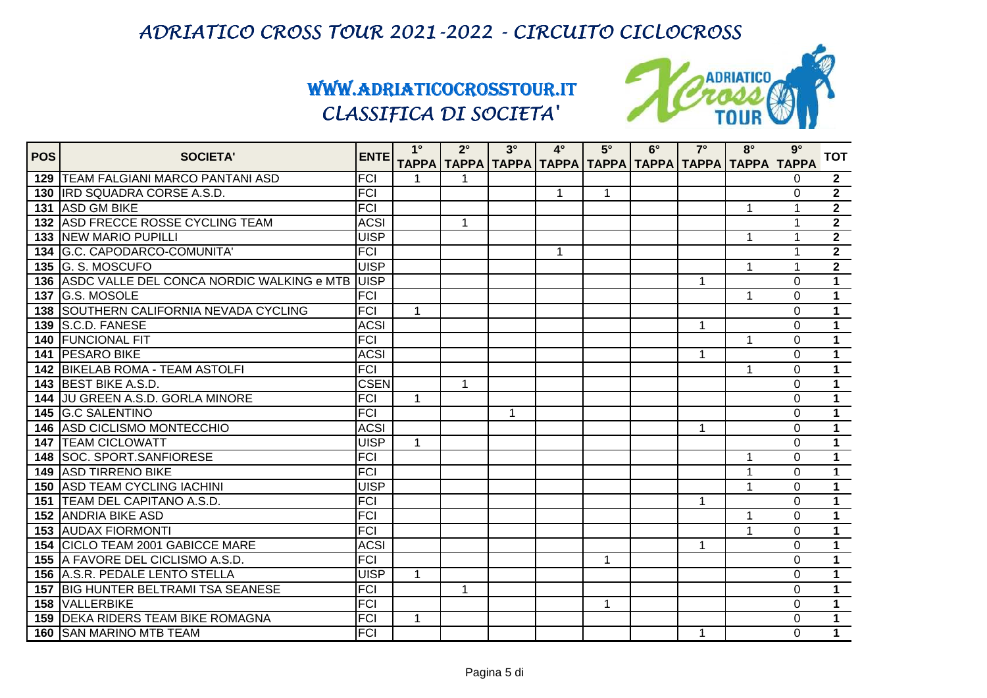

| <b>POS</b> | <b>SOCIETA'</b>                               | <b>ENTE</b>      | $1^{\circ}$  | $2^\circ$            | $3^\circ$ | $4^\circ$                                                             | $5^\circ$    | $6^\circ$ | $7^\circ$ | $8^\circ$ | $9^\circ$      | <b>TOT</b>     |
|------------|-----------------------------------------------|------------------|--------------|----------------------|-----------|-----------------------------------------------------------------------|--------------|-----------|-----------|-----------|----------------|----------------|
|            |                                               |                  |              |                      |           | ТАРРА   ТАРРА   ТАРРА   ТАРРА   ТАРРА   ТАРРА   ТАРРА   ТАРРА   ТАРРА |              |           |           |           |                |                |
|            | 129 TEAM FALGIANI MARCO PANTANI ASD           | <b>FCI</b>       | 1            |                      |           |                                                                       |              |           |           |           | $\Omega$       | $\mathbf{2}$   |
|            | <b>130 IRD SQUADRA CORSE A.S.D.</b>           | <b>FCI</b>       |              |                      |           | $\mathbf{1}$                                                          | $\mathbf{1}$ |           |           |           | 0              | $\overline{2}$ |
|            | 131 ASD GM BIKE                               | $\overline{FCI}$ |              |                      |           |                                                                       |              |           |           | 1         | 1              | $\overline{2}$ |
|            | 132 ASD FRECCE ROSSE CYCLING TEAM             | <b>ACSI</b>      |              | $\blacktriangleleft$ |           |                                                                       |              |           |           |           | 1              | $\overline{2}$ |
|            | <b>133 NEW MARIO PUPILLI</b>                  | <b>UISP</b>      |              |                      |           |                                                                       |              |           |           | 1         | 1              | $\overline{2}$ |
|            | 134 G.C. CAPODARCO-COMUNITA'                  | <b>FCI</b>       |              |                      |           | $\mathbf 1$                                                           |              |           |           |           | 1              | $\overline{2}$ |
|            | 135 G. S. MOSCUFO                             | <b>UISP</b>      |              |                      |           |                                                                       |              |           |           | 1         | 1              | $\overline{2}$ |
|            | 136 ASDC VALLE DEL CONCA NORDIC WALKING e MTB | <b>IUISP</b>     |              |                      |           |                                                                       |              |           | 1         |           | $\Omega$       | $\overline{1}$ |
|            | <b>137 G.S. MOSOLE</b>                        | <b>FCI</b>       |              |                      |           |                                                                       |              |           |           | 1         | $\Omega$       | $\overline{1}$ |
|            | 138 SOUTHERN CALIFORNIA NEVADA CYCLING        | <b>FCI</b>       | $\mathbf{1}$ |                      |           |                                                                       |              |           |           |           | 0              | $\overline{1}$ |
|            | 139 S.C.D. FANESE                             | <b>ACSI</b>      |              |                      |           |                                                                       |              |           | 1         |           | $\Omega$       | $\overline{1}$ |
|            | <b>140 FUNCIONAL FIT</b>                      | <b>FCI</b>       |              |                      |           |                                                                       |              |           |           | 1         | $\Omega$       | $\overline{1}$ |
|            | 141 PESARO BIKE                               | <b>ACSI</b>      |              |                      |           |                                                                       |              |           | 1         |           | $\Omega$       | $\overline{1}$ |
|            | <b>142 BIKELAB ROMA - TEAM ASTOLFI</b>        | <b>FCI</b>       |              |                      |           |                                                                       |              |           |           | 1         | $\Omega$       | $\overline{1}$ |
|            | 143 BEST BIKE A.S.D.                          | <b>CSEN</b>      |              | $\mathbf{1}$         |           |                                                                       |              |           |           |           | $\Omega$       | $\overline{1}$ |
|            | 144 JU GREEN A.S.D. GORLA MINORE              | <b>FCI</b>       | $\mathbf{1}$ |                      |           |                                                                       |              |           |           |           | $\Omega$       | $\mathbf 1$    |
|            | 145 G.C SALENTINO                             | <b>FCI</b>       |              |                      | 1         |                                                                       |              |           |           |           | $\overline{0}$ | $\overline{1}$ |
|            | <b>146 ASD CICLISMO MONTECCHIO</b>            | <b>ACSI</b>      |              |                      |           |                                                                       |              |           | 1         |           | $\Omega$       | $\overline{1}$ |
|            | <b>147   TEAM CICLOWATT</b>                   | <b>UISP</b>      | 1            |                      |           |                                                                       |              |           |           |           | $\Omega$       | $\overline{1}$ |
|            | 148 SOC. SPORT.SANFIORESE                     | <b>FCI</b>       |              |                      |           |                                                                       |              |           |           | 1         | 0              | $\mathbf{1}$   |
|            | <b>149 ASD TIRRENO BIKE</b>                   | <b>FCI</b>       |              |                      |           |                                                                       |              |           |           | 1         | 0              | $\mathbf 1$    |
|            | <b>150 ASD TEAM CYCLING IACHINI</b>           | <b>UISP</b>      |              |                      |           |                                                                       |              |           |           | 1         | $\overline{0}$ | $\overline{1}$ |
|            | 151 TEAM DEL CAPITANO A.S.D.                  | <b>FCI</b>       |              |                      |           |                                                                       |              |           | 1         |           | $\Omega$       | $\overline{1}$ |
|            | <b>152 ANDRIA BIKE ASD</b>                    | <b>FCI</b>       |              |                      |           |                                                                       |              |           |           | 1         | 0              | $\mathbf 1$    |
|            | <b>153 AUDAX FIORMONTI</b>                    | <b>FCI</b>       |              |                      |           |                                                                       |              |           |           | 1         | $\Omega$       | $\overline{1}$ |
|            | 154 CICLO TEAM 2001 GABICCE MARE              | <b>ACSI</b>      |              |                      |           |                                                                       |              |           | 1         |           | $\Omega$       | $\mathbf{1}$   |
|            | 155 A FAVORE DEL CICLISMO A.S.D.              | <b>FCI</b>       |              |                      |           |                                                                       | $\mathbf 1$  |           |           |           | $\Omega$       | $\mathbf 1$    |
|            | 156 A.S.R. PEDALE LENTO STELLA                | <b>UISP</b>      | $\mathbf 1$  |                      |           |                                                                       |              |           |           |           | $\Omega$       | $\overline{1}$ |
|            | 157 BIG HUNTER BELTRAMI TSA SEANESE           | <b>FCI</b>       |              | 1                    |           |                                                                       |              |           |           |           | 0              | $\overline{1}$ |
|            | <b>158 VALLERBIKE</b>                         | <b>FCI</b>       |              |                      |           |                                                                       | 1            |           |           |           | 0              | $\mathbf 1$    |
|            | <b>159 DEKA RIDERS TEAM BIKE ROMAGNA</b>      | <b>FCI</b>       | $\mathbf 1$  |                      |           |                                                                       |              |           |           |           | $\Omega$       | $\mathbf 1$    |
|            | 160 SAN MARINO MTB TEAM                       | <b>FCI</b>       |              |                      |           |                                                                       |              |           | 1         |           | 0              | $\mathbf 1$    |